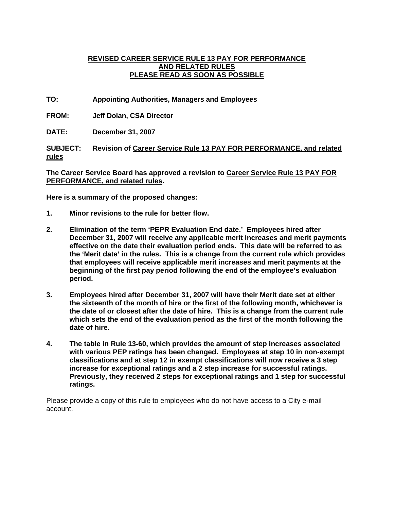# **REVISED CAREER SERVICE RULE 13 PAY FOR PERFORMANCE AND RELATED RULES PLEASE READ AS SOON AS POSSIBLE**

**TO: Appointing Authorities, Managers and Employees** 

**FROM: Jeff Dolan, CSA Director** 

**DATE: December 31, 2007** 

**SUBJECT: Revision of Career Service Rule 13 PAY FOR PERFORMANCE, and related rules**

**The Career Service Board has approved a revision to Career Service Rule 13 PAY FOR PERFORMANCE, and related rules.** 

**Here is a summary of the proposed changes:** 

- **1. Minor revisions to the rule for better flow.**
- **2. Elimination of the term 'PEPR Evaluation End date.' Employees hired after December 31, 2007 will receive any applicable merit increases and merit payments effective on the date their evaluation period ends. This date will be referred to as the 'Merit date' in the rules. This is a change from the current rule which provides that employees will receive applicable merit increases and merit payments at the beginning of the first pay period following the end of the employee's evaluation period.**
- **3. Employees hired after December 31, 2007 will have their Merit date set at either the sixteenth of the month of hire or the first of the following month, whichever is the date of or closest after the date of hire. This is a change from the current rule which sets the end of the evaluation period as the first of the month following the date of hire.**
- **4. The table in Rule 13-60, which provides the amount of step increases associated with various PEP ratings has been changed. Employees at step 10 in non-exempt classifications and at step 12 in exempt classifications will now receive a 3 step increase for exceptional ratings and a 2 step increase for successful ratings. Previously, they received 2 steps for exceptional ratings and 1 step for successful ratings.**

Please provide a copy of this rule to employees who do not have access to a City e-mail account.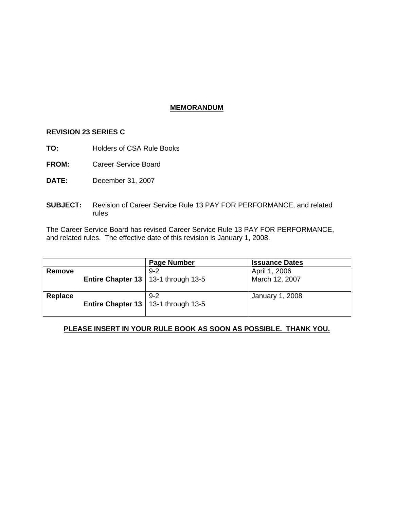# **MEMORANDUM**

### **REVISION 23 SERIES C**

**TO:** Holders of CSA Rule Books

**FROM:** Career Service Board

- **DATE:** December 31, 2007
- **SUBJECT:** Revision of Career Service Rule 13 PAY FOR PERFORMANCE, and related rules

The Career Service Board has revised Career Service Rule 13 PAY FOR PERFORMANCE, and related rules. The effective date of this revision is January 1, 2008.

|         |                                              | <b>Page Number</b> | <b>Issuance Dates</b>           |
|---------|----------------------------------------------|--------------------|---------------------------------|
| Remove  | <b>Entire Chapter 13</b>   13-1 through 13-5 | $9 - 2$            | April 1, 2006<br>March 12, 2007 |
| Replace | Entire Chapter 13   13-1 through 13-5        | $9 - 2$            | January 1, 2008                 |

# **PLEASE INSERT IN YOUR RULE BOOK AS SOON AS POSSIBLE. THANK YOU.**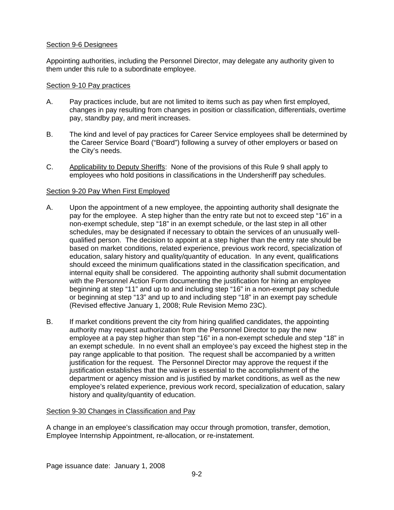# Section 9-6 Designees

Appointing authorities, including the Personnel Director, may delegate any authority given to them under this rule to a subordinate employee.

### Section 9-10 Pay practices

- A. Pay practices include, but are not limited to items such as pay when first employed, changes in pay resulting from changes in position or classification, differentials, overtime pay, standby pay, and merit increases.
- B. The kind and level of pay practices for Career Service employees shall be determined by the Career Service Board ("Board") following a survey of other employers or based on the City's needs.
- C. Applicability to Deputy Sheriffs: None of the provisions of this Rule 9 shall apply to employees who hold positions in classifications in the Undersheriff pay schedules.

# Section 9-20 Pay When First Employed

- A. Upon the appointment of a new employee, the appointing authority shall designate the pay for the employee. A step higher than the entry rate but not to exceed step "16" in a non-exempt schedule, step "18" in an exempt schedule, or the last step in all other schedules, may be designated if necessary to obtain the services of an unusually wellqualified person. The decision to appoint at a step higher than the entry rate should be based on market conditions, related experience, previous work record, specialization of education, salary history and quality/quantity of education. In any event, qualifications should exceed the minimum qualifications stated in the classification specification, and internal equity shall be considered. The appointing authority shall submit documentation with the Personnel Action Form documenting the justification for hiring an employee beginning at step "11" and up to and including step "16" in a non-exempt pay schedule or beginning at step "13" and up to and including step "18" in an exempt pay schedule (Revised effective January 1, 2008; Rule Revision Memo 23C).
- B. If market conditions prevent the city from hiring qualified candidates, the appointing authority may request authorization from the Personnel Director to pay the new employee at a pay step higher than step "16" in a non-exempt schedule and step "18" in an exempt schedule. In no event shall an employee's pay exceed the highest step in the pay range applicable to that position. The request shall be accompanied by a written justification for the request. The Personnel Director may approve the request if the justification establishes that the waiver is essential to the accomplishment of the department or agency mission and is justified by market conditions, as well as the new employee's related experience, previous work record, specialization of education, salary history and quality/quantity of education.

# Section 9-30 Changes in Classification and Pay

A change in an employee's classification may occur through promotion, transfer, demotion, Employee Internship Appointment, re-allocation, or re-instatement.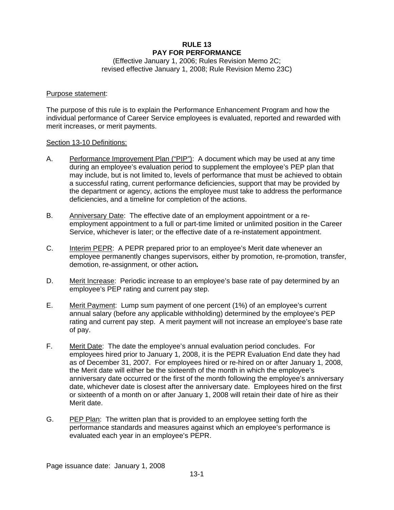# **RULE 13 PAY FOR PERFORMANCE**

(Effective January 1, 2006; Rules Revision Memo 2C; revised effective January 1, 2008; Rule Revision Memo 23C)

#### Purpose statement:

The purpose of this rule is to explain the Performance Enhancement Program and how the individual performance of Career Service employees is evaluated, reported and rewarded with merit increases, or merit payments.

#### Section 13-10 Definitions:

- A. Performance Improvement Plan ("PIP"): A document which may be used at any time during an employee's evaluation period to supplement the employee's PEP plan that may include, but is not limited to, levels of performance that must be achieved to obtain a successful rating, current performance deficiencies, support that may be provided by the department or agency, actions the employee must take to address the performance deficiencies, and a timeline for completion of the actions.
- B. Anniversary Date: The effective date of an employment appointment or a reemployment appointment to a full or part-time limited or unlimited position in the Career Service, whichever is later; or the effective date of a re-instatement appointment.
- C. Interim PEPR: A PEPR prepared prior to an employee's Merit date whenever an employee permanently changes supervisors, either by promotion, re-promotion, transfer, demotion, re-assignment, or other action*.*
- D. Merit Increase: Periodic increase to an employee's base rate of pay determined by an employee's PEP rating and current pay step.
- E. Merit Payment: Lump sum payment of one percent (1%) of an employee's current annual salary (before any applicable withholding) determined by the employee's PEP rating and current pay step. A merit payment will not increase an employee's base rate of pay.
- F. Merit Date: The date the employee's annual evaluation period concludes. For employees hired prior to January 1, 2008, it is the PEPR Evaluation End date they had as of December 31, 2007. For employees hired or re-hired on or after January 1, 2008, the Merit date will either be the sixteenth of the month in which the employee's anniversary date occurred or the first of the month following the employee's anniversary date, whichever date is closest after the anniversary date. Employees hired on the first or sixteenth of a month on or after January 1, 2008 will retain their date of hire as their Merit date.
- G. PEP Plan: The written plan that is provided to an employee setting forth the performance standards and measures against which an employee's performance is evaluated each year in an employee's PEPR.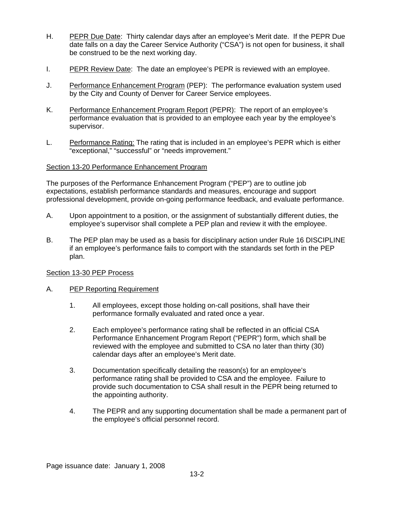- H. PEPR Due Date: Thirty calendar days after an employee's Merit date. If the PEPR Due date falls on a day the Career Service Authority ("CSA") is not open for business, it shall be construed to be the next working day.
- I. PEPR Review Date: The date an employee's PEPR is reviewed with an employee.
- J. Performance Enhancement Program (PEP): The performance evaluation system used by the City and County of Denver for Career Service employees.
- K. Performance Enhancement Program Report (PEPR): The report of an employee's performance evaluation that is provided to an employee each year by the employee's supervisor.
- L. Performance Rating: The rating that is included in an employee's PEPR which is either "exceptional," "successful" or "needs improvement."

### Section 13-20 Performance Enhancement Program

The purposes of the Performance Enhancement Program ("PEP") are to outline job expectations, establish performance standards and measures, encourage and support professional development, provide on-going performance feedback, and evaluate performance.

- A. Upon appointment to a position, or the assignment of substantially different duties, the employee's supervisor shall complete a PEP plan and review it with the employee.
- B. The PEP plan may be used as a basis for disciplinary action under Rule 16 DISCIPLINE if an employee's performance fails to comport with the standards set forth in the PEP plan.

### Section 13-30 PEP Process

### A. PEP Reporting Requirement

- 1. All employees, except those holding on-call positions, shall have their performance formally evaluated and rated once a year.
- 2. Each employee's performance rating shall be reflected in an official CSA Performance Enhancement Program Report ("PEPR") form, which shall be reviewed with the employee and submitted to CSA no later than thirty (30) calendar days after an employee's Merit date.
- 3. Documentation specifically detailing the reason(s) for an employee's performance rating shall be provided to CSA and the employee. Failure to provide such documentation to CSA shall result in the PEPR being returned to the appointing authority.
- 4. The PEPR and any supporting documentation shall be made a permanent part of the employee's official personnel record.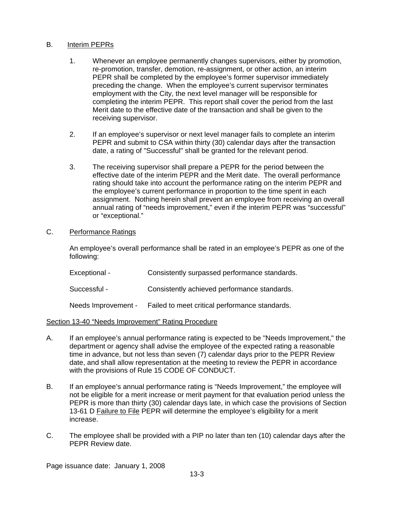# B. Interim PEPRs

- 1. Whenever an employee permanently changes supervisors, either by promotion, re-promotion, transfer, demotion, re-assignment, or other action, an interim PEPR shall be completed by the employee's former supervisor immediately preceding the change. When the employee's current supervisor terminates employment with the City, the next level manager will be responsible for completing the interim PEPR. This report shall cover the period from the last Merit date to the effective date of the transaction and shall be given to the receiving supervisor.
- 2. If an employee's supervisor or next level manager fails to complete an interim PEPR and submit to CSA within thirty (30) calendar days after the transaction date, a rating of "Successful" shall be granted for the relevant period.
- 3. The receiving supervisor shall prepare a PEPR for the period between the effective date of the interim PEPR and the Merit date. The overall performance rating should take into account the performance rating on the interim PEPR and the employee's current performance in proportion to the time spent in each assignment. Nothing herein shall prevent an employee from receiving an overall annual rating of "needs improvement," even if the interim PEPR was "successful" or "exceptional."

### C. Performance Ratings

An employee's overall performance shall be rated in an employee's PEPR as one of the following:

| Exceptional -       | Consistently surpassed performance standards.  |
|---------------------|------------------------------------------------|
| Successful -        | Consistently achieved performance standards.   |
| Needs Improvement - | Failed to meet critical performance standards. |

### Section 13-40 "Needs Improvement" Rating Procedure

- A. If an employee's annual performance rating is expected to be "Needs Improvement," the department or agency shall advise the employee of the expected rating a reasonable time in advance, but not less than seven (7) calendar days prior to the PEPR Review date, and shall allow representation at the meeting to review the PEPR in accordance with the provisions of Rule 15 CODE OF CONDUCT.
- B. If an employee's annual performance rating is "Needs Improvement," the employee will not be eligible for a merit increase or merit payment for that evaluation period unless the PEPR is more than thirty (30) calendar days late, in which case the provisions of Section 13-61 D Failure to File PEPR will determine the employee's eligibility for a merit increase.
- C. The employee shall be provided with a PIP no later than ten (10) calendar days after the PEPR Review date.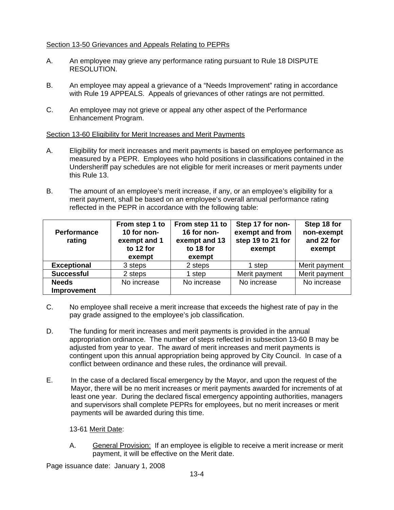# Section 13-50 Grievances and Appeals Relating to PEPRs

- A. An employee may grieve any performance rating pursuant to Rule 18 DISPUTE RESOLUTION.
- B. An employee may appeal a grievance of a "Needs Improvement" rating in accordance with Rule 19 APPEALS. Appeals of grievances of other ratings are not permitted.
- C. An employee may not grieve or appeal any other aspect of the Performance Enhancement Program.

# Section 13-60 Eligibility for Merit Increases and Merit Payments

- A. Eligibility for merit increases and merit payments is based on employee performance as measured by a PEPR. Employees who hold positions in classifications contained in the Undersheriff pay schedules are not eligible for merit increases or merit payments under this Rule 13.
- B. The amount of an employee's merit increase, if any, or an employee's eligibility for a merit payment, shall be based on an employee's overall annual performance rating reflected in the PEPR in accordance with the following table:

| <b>Performance</b><br>rating | From step 1 to<br>10 for non-<br>exempt and 1<br>to 12 for<br>exempt | From step 11 to<br>16 for non-<br>exempt and 13<br>to 18 for<br>exempt | Step 17 for non-<br>exempt and from<br>step 19 to 21 for<br>exempt | Step 18 for<br>non-exempt<br>and 22 for<br>exempt |
|------------------------------|----------------------------------------------------------------------|------------------------------------------------------------------------|--------------------------------------------------------------------|---------------------------------------------------|
| <b>Exceptional</b>           | 3 steps                                                              | 2 steps                                                                | 1 step                                                             | Merit payment                                     |
| <b>Successful</b>            | 2 steps                                                              | 1 step                                                                 | Merit payment                                                      | Merit payment                                     |
| <b>Needs</b><br>Improvement  | No increase                                                          | No increase                                                            | No increase                                                        | No increase                                       |

- C. No employee shall receive a merit increase that exceeds the highest rate of pay in the pay grade assigned to the employee's job classification.
- D. The funding for merit increases and merit payments is provided in the annual appropriation ordinance. The number of steps reflected in subsection 13-60 B may be adjusted from year to year. The award of merit increases and merit payments is contingent upon this annual appropriation being approved by City Council. In case of a conflict between ordinance and these rules, the ordinance will prevail.
- E. In the case of a declared fiscal emergency by the Mayor, and upon the request of the Mayor, there will be no merit increases or merit payments awarded for increments of at least one year. During the declared fiscal emergency appointing authorities, managers and supervisors shall complete PEPRs for employees, but no merit increases or merit payments will be awarded during this time.

13-61 Merit Date:

A. General Provision: If an employee is eligible to receive a merit increase or merit payment, it will be effective on the Merit date.